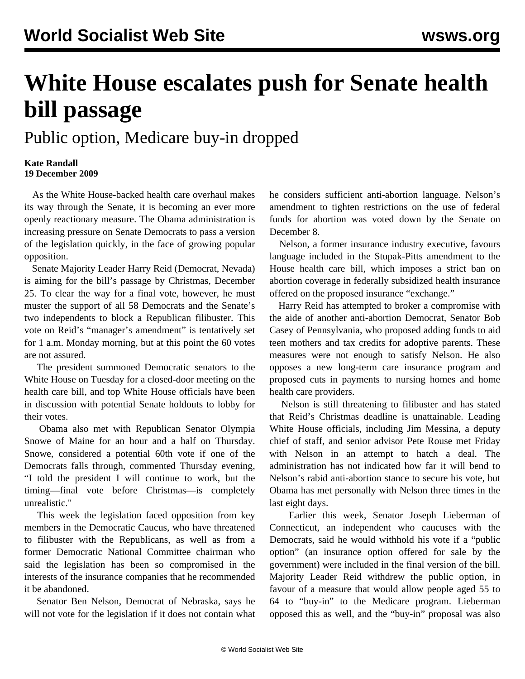## **White House escalates push for Senate health bill passage**

Public option, Medicare buy-in dropped

## **Kate Randall 19 December 2009**

 As the White House-backed health care overhaul makes its way through the Senate, it is becoming an ever more openly reactionary measure. The Obama administration is increasing pressure on Senate Democrats to pass a version of the legislation quickly, in the face of growing popular opposition.

 Senate Majority Leader Harry Reid (Democrat, Nevada) is aiming for the bill's passage by Christmas, December 25. To clear the way for a final vote, however, he must muster the support of all 58 Democrats and the Senate's two independents to block a Republican filibuster. This vote on Reid's "manager's amendment" is tentatively set for 1 a.m. Monday morning, but at this point the 60 votes are not assured.

 The president summoned Democratic senators to the White House on Tuesday for a closed-door meeting on the health care bill, and top White House officials have been in discussion with potential Senate holdouts to lobby for their votes.

 Obama also met with Republican Senator Olympia Snowe of Maine for an hour and a half on Thursday. Snowe, considered a potential 60th vote if one of the Democrats falls through, commented Thursday evening, "I told the president I will continue to work, but the timing—final vote before Christmas—is completely unrealistic."

 This week the legislation faced opposition from key members in the Democratic Caucus, who have threatened to filibuster with the Republicans, as well as from a former Democratic National Committee chairman who said the legislation has been so compromised in the interests of the insurance companies that he recommended it be abandoned.

 Senator Ben Nelson, Democrat of Nebraska, says he will not vote for the legislation if it does not contain what he considers sufficient anti-abortion language. Nelson's amendment to tighten restrictions on the use of federal funds for abortion was voted down by the Senate on December 8.

 Nelson, a former insurance industry executive, favours language included in the Stupak-Pitts amendment to the House health care bill, which imposes a strict ban on abortion coverage in federally subsidized health insurance offered on the proposed insurance "exchange."

 Harry Reid has attempted to broker a compromise with the aide of another anti-abortion Democrat, Senator Bob Casey of Pennsylvania, who proposed adding funds to aid teen mothers and tax credits for adoptive parents. These measures were not enough to satisfy Nelson. He also opposes a new long-term care insurance program and proposed cuts in payments to nursing homes and home health care providers.

 Nelson is still threatening to filibuster and has stated that Reid's Christmas deadline is unattainable. Leading White House officials, including Jim Messina, a deputy chief of staff, and senior advisor Pete Rouse met Friday with Nelson in an attempt to hatch a deal. The administration has not indicated how far it will bend to Nelson's rabid anti-abortion stance to secure his vote, but Obama has met personally with Nelson three times in the last eight days.

 Earlier this week, Senator Joseph Lieberman of Connecticut, an independent who caucuses with the Democrats, said he would withhold his vote if a "public option" (an insurance option offered for sale by the government) were included in the final version of the bill. Majority Leader Reid withdrew the public option, in favour of a measure that would allow people aged 55 to 64 to "buy-in" to the Medicare program. Lieberman opposed this as well, and the "buy-in" proposal was also